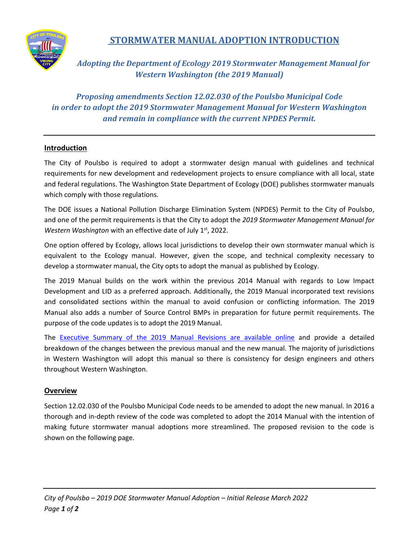

# **STORMWATER MANUAL ADOPTION INTRODUCTION**

*Adopting the Department of Ecology 2019 Stormwater Management Manual for Western Washington (the 2019 Manual)*

*Proposing amendments Section 12.02.030 of the Poulsbo Municipal Code in order to adopt the 2019 Stormwater Management Manual for Western Washington and remain in compliance with the current NPDES Permit.* 

### **Introduction**

The City of Poulsbo is required to adopt a stormwater design manual with guidelines and technical requirements for new development and redevelopment projects to ensure compliance with all local, state and federal regulations. The Washington State Department of Ecology (DOE) publishes stormwater manuals which comply with those regulations.

The DOE issues a National Pollution Discharge Elimination System (NPDES) Permit to the City of Poulsbo, and one of the permit requirements is that the City to adopt the *2019 Stormwater Management Manual for Western Washington* with an effective date of July 1<sup>st</sup>, 2022.

One option offered by Ecology, allows local jurisdictions to develop their own stormwater manual which is equivalent to the Ecology manual. However, given the scope, and technical complexity necessary to develop a stormwater manual, the City opts to adopt the manual as published by Ecology.

The 2019 Manual builds on the work within the previous 2014 Manual with regards to Low Impact Development and LID as a preferred approach. Additionally, the 2019 Manual incorporated text revisions and consolidated sections within the manual to avoid confusion or conflicting information. The 2019 Manual also adds a number of Source Control BMPs in preparation for future permit requirements. The purpose of the code updates is to adopt the 2019 Manual.

The **[Executive Summary of the 2019 Manual Revisions are available online](https://fortress.wa.gov/ecy/ezshare/wq/Permits/Flare/2019SWMMWW/2019SWMMWW.htm#Topics/ExecutiveSummaryOfThe2019Revisions.htm?TocPath=2019%2520SWMMWW%257C_____1)** and provide a detailed breakdown of the changes between the previous manual and the new manual. The majority of jurisdictions in Western Washington will adopt this manual so there is consistency for design engineers and others throughout Western Washington.

#### **Overview**

Section 12.02.030 of the Poulsbo Municipal Code needs to be amended to adopt the new manual. In 2016 a thorough and in-depth review of the code was completed to adopt the 2014 Manual with the intention of making future stormwater manual adoptions more streamlined. The proposed revision to the code is shown on the following page.